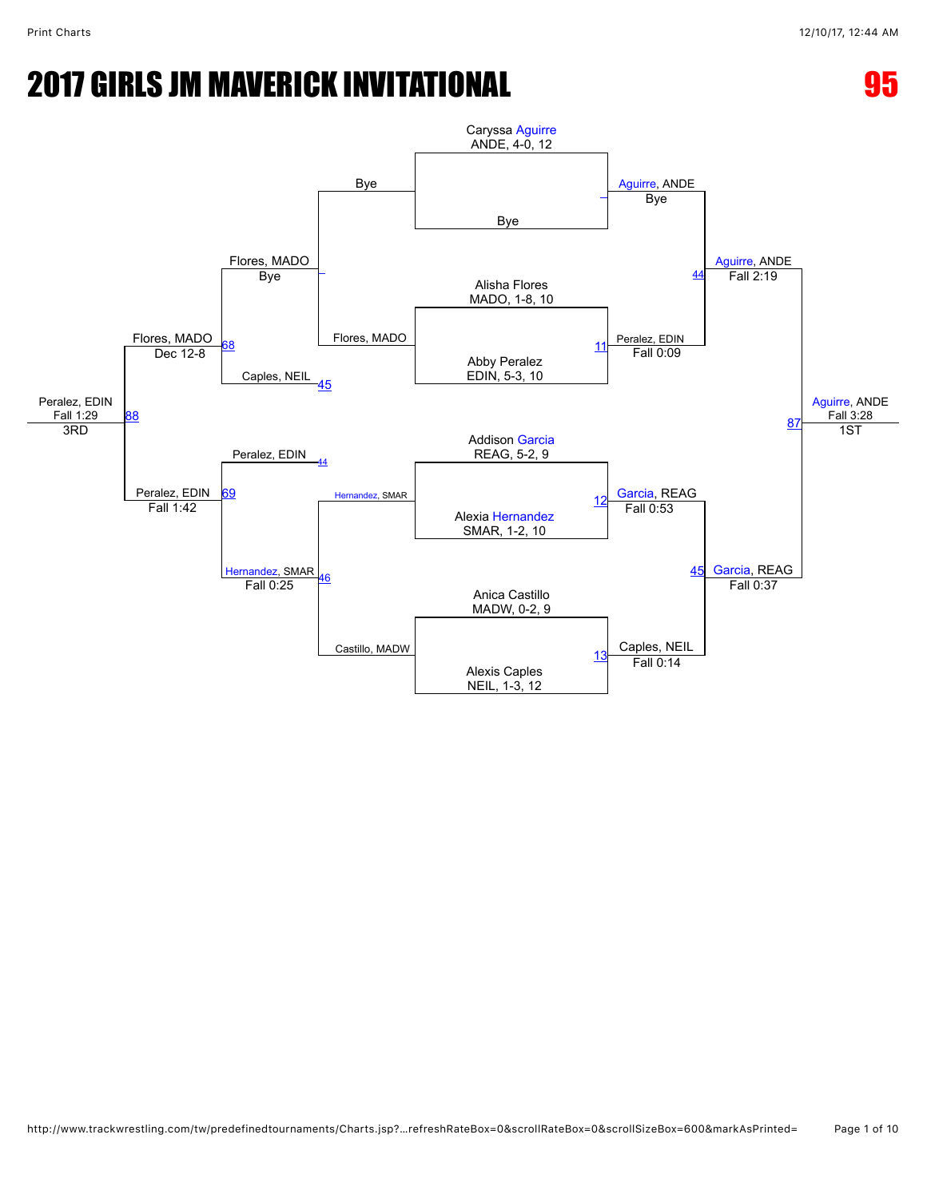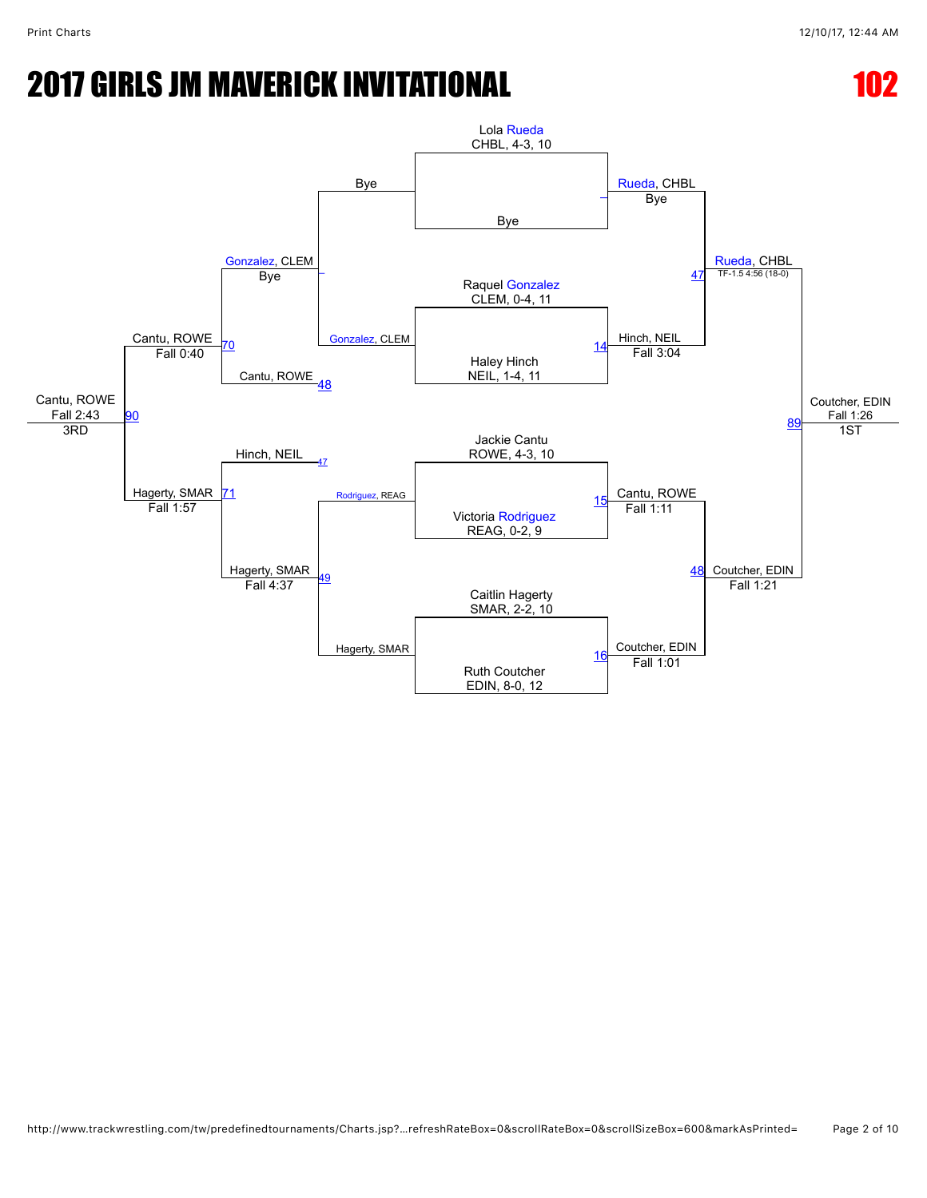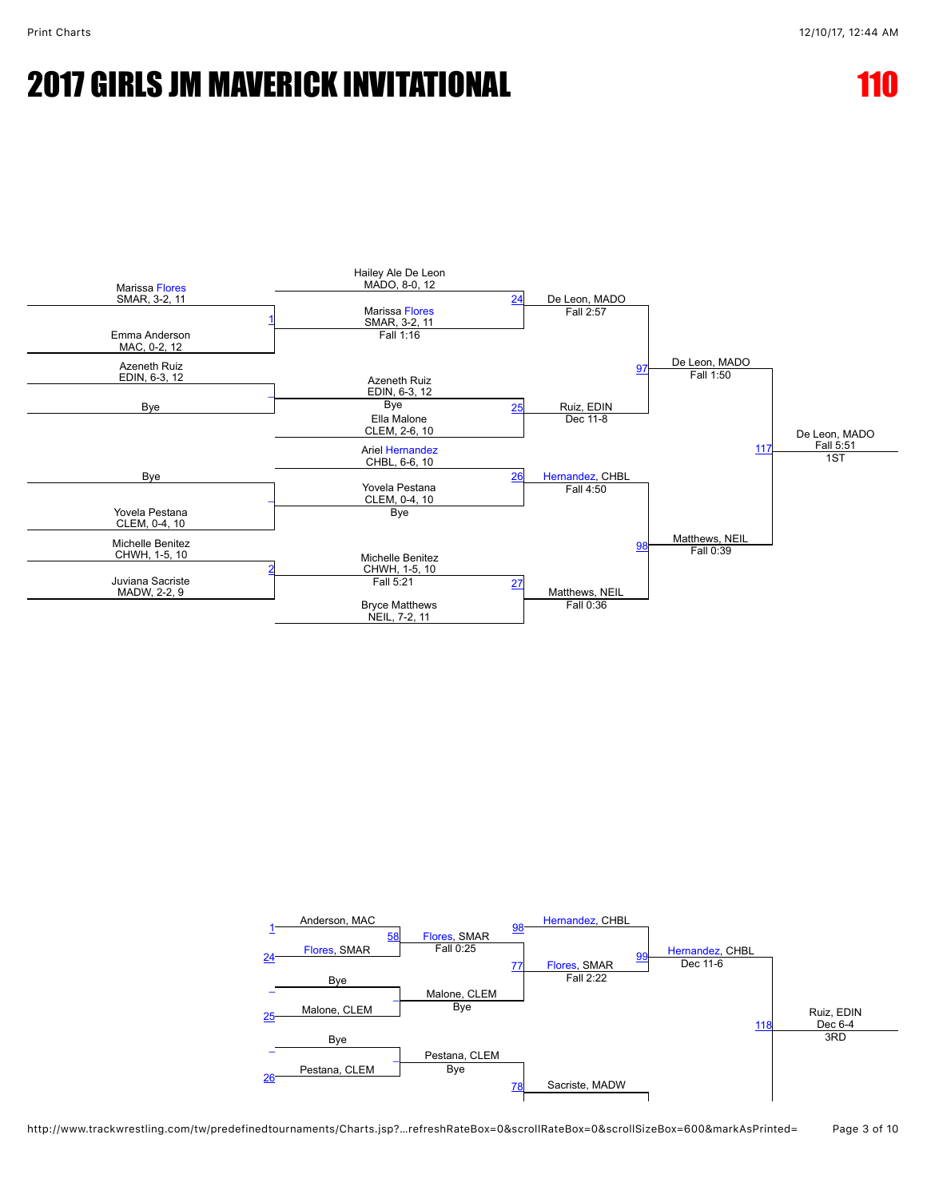

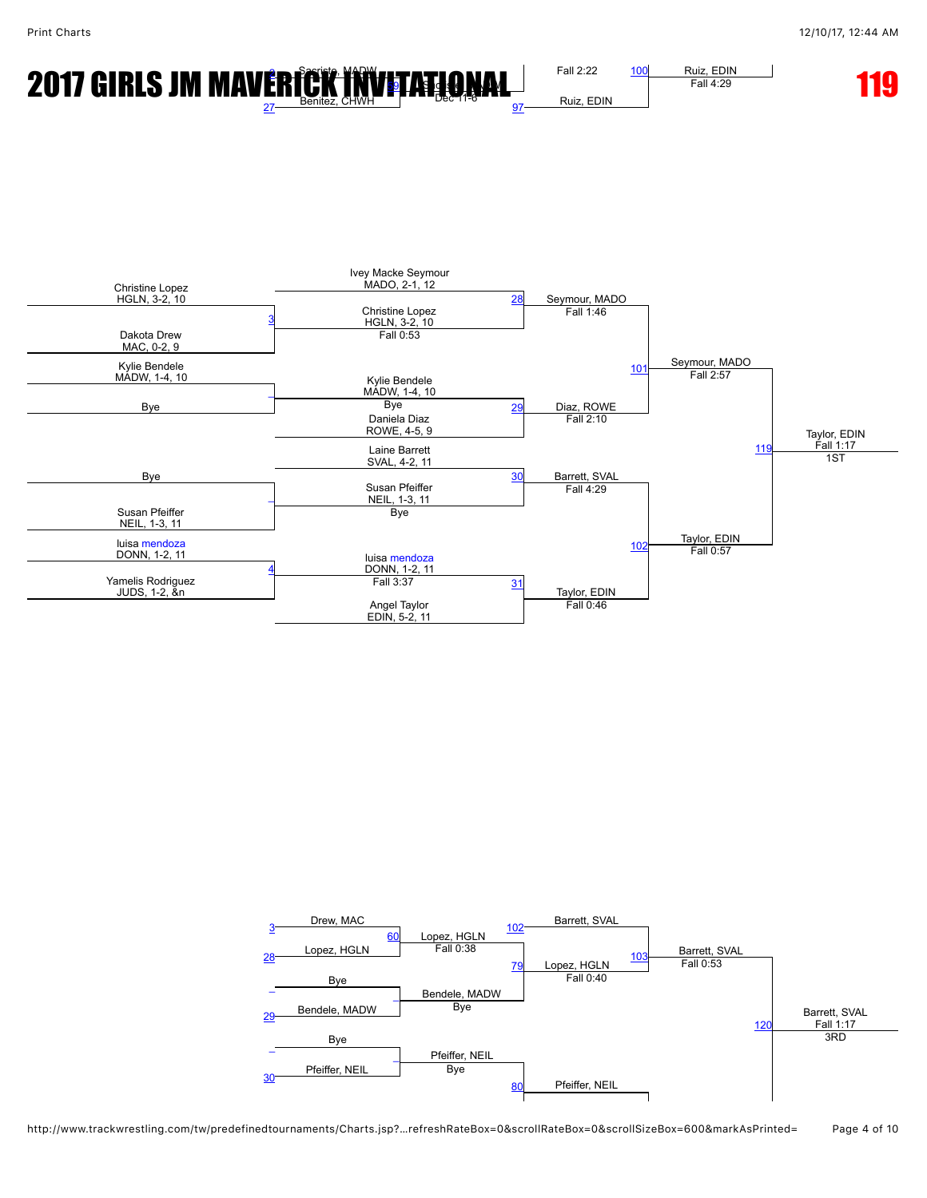



Fall 4:29



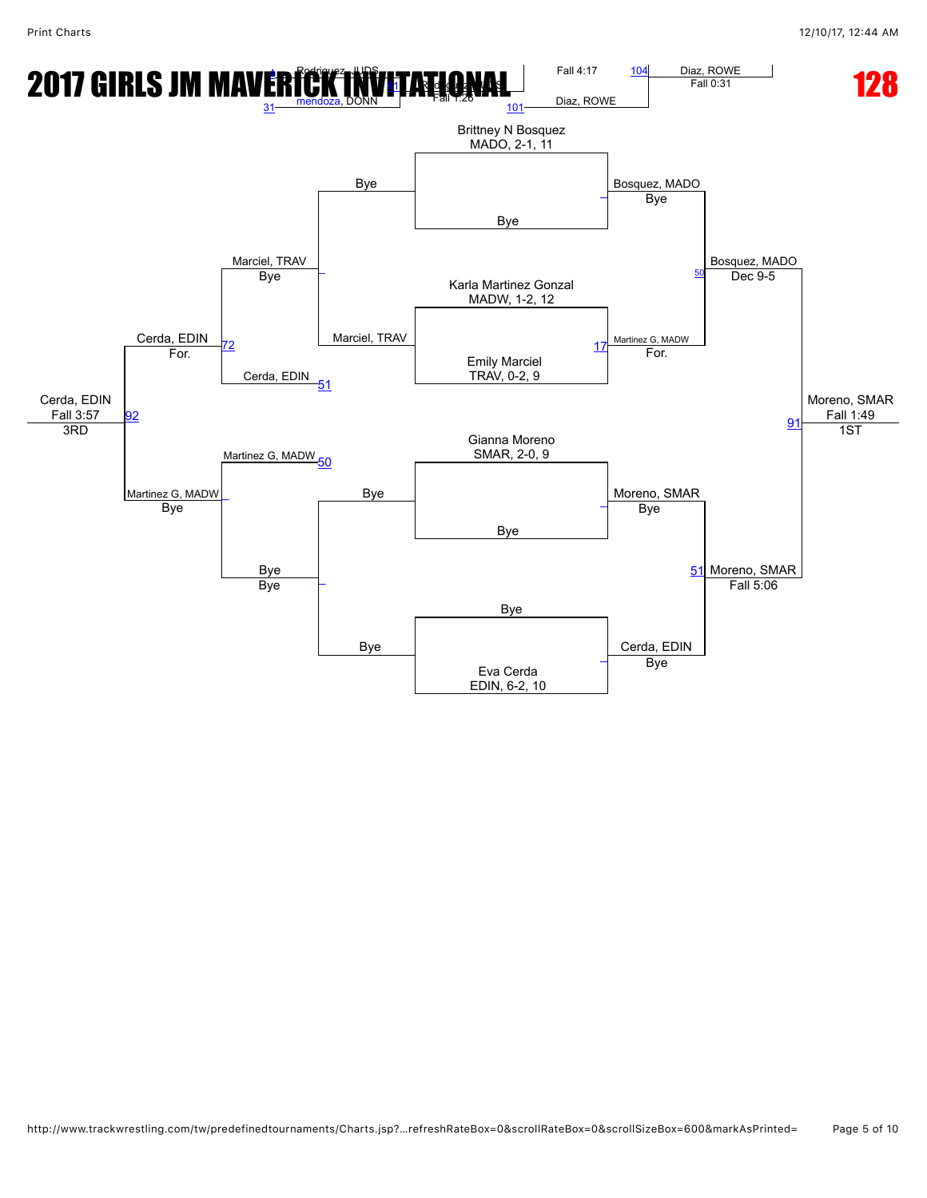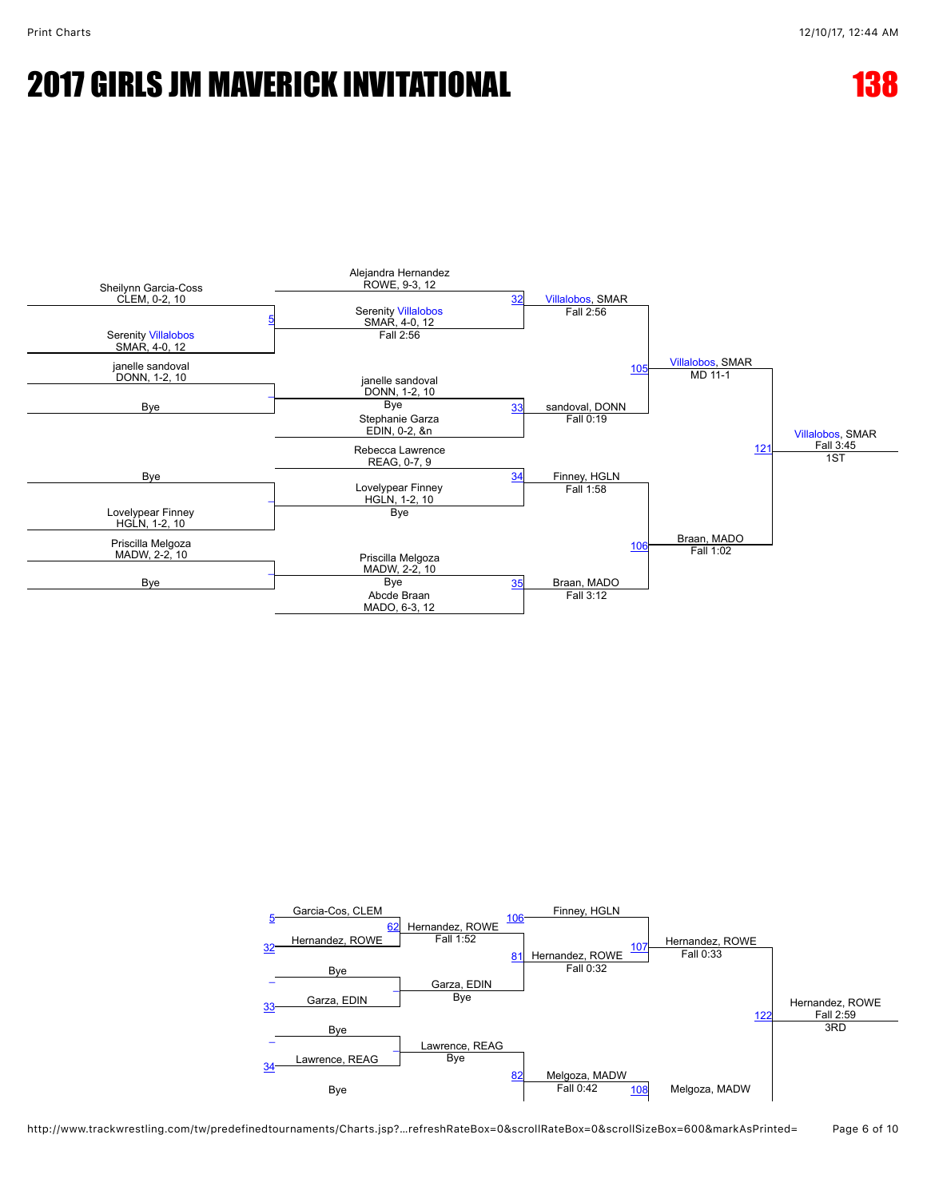



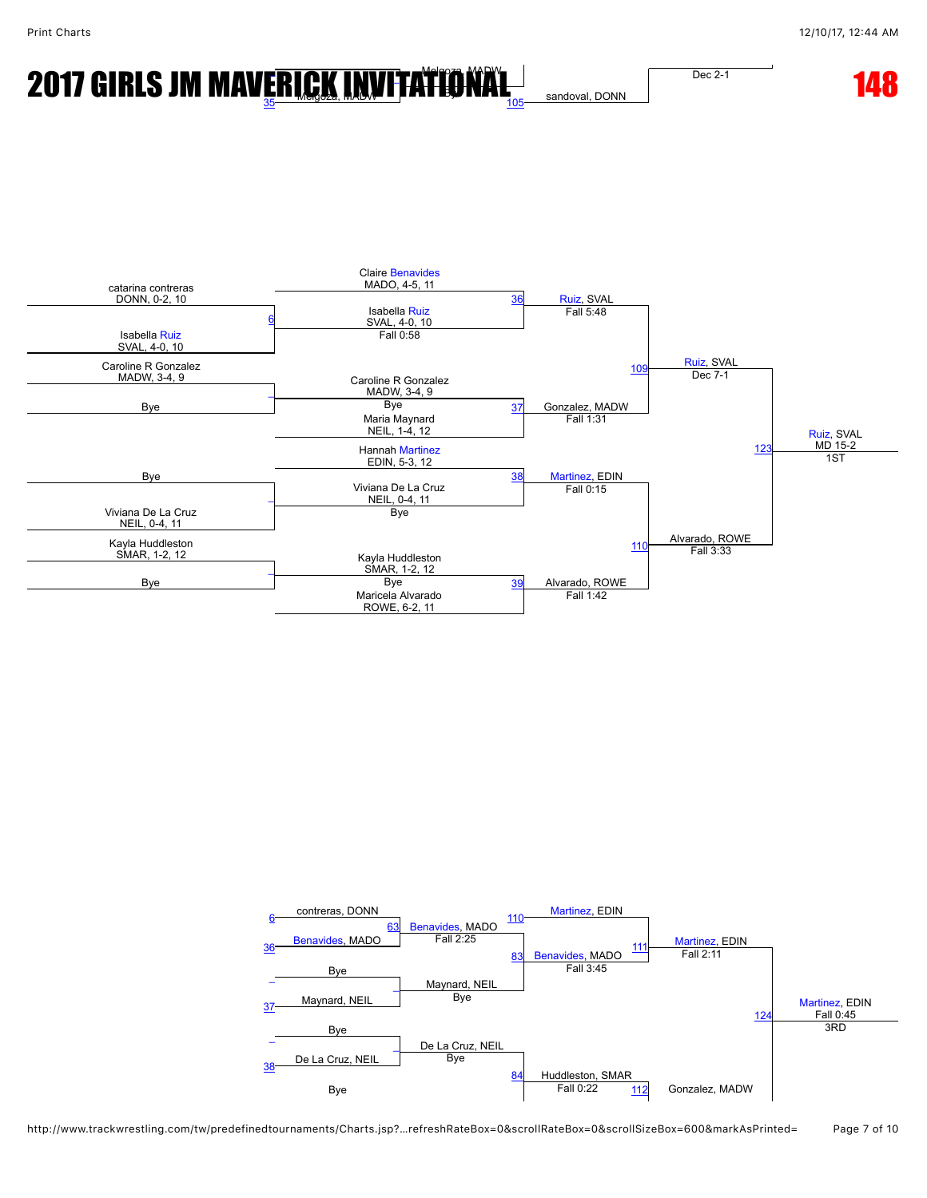# **2017 GIRLS JM MAV<u>ERICK INV[IT](javascript:openBoutSheet(12,)ATIONAL</u> SANGWAL DEGREE 148 148**

Dec 2-1

sandoval, DONN



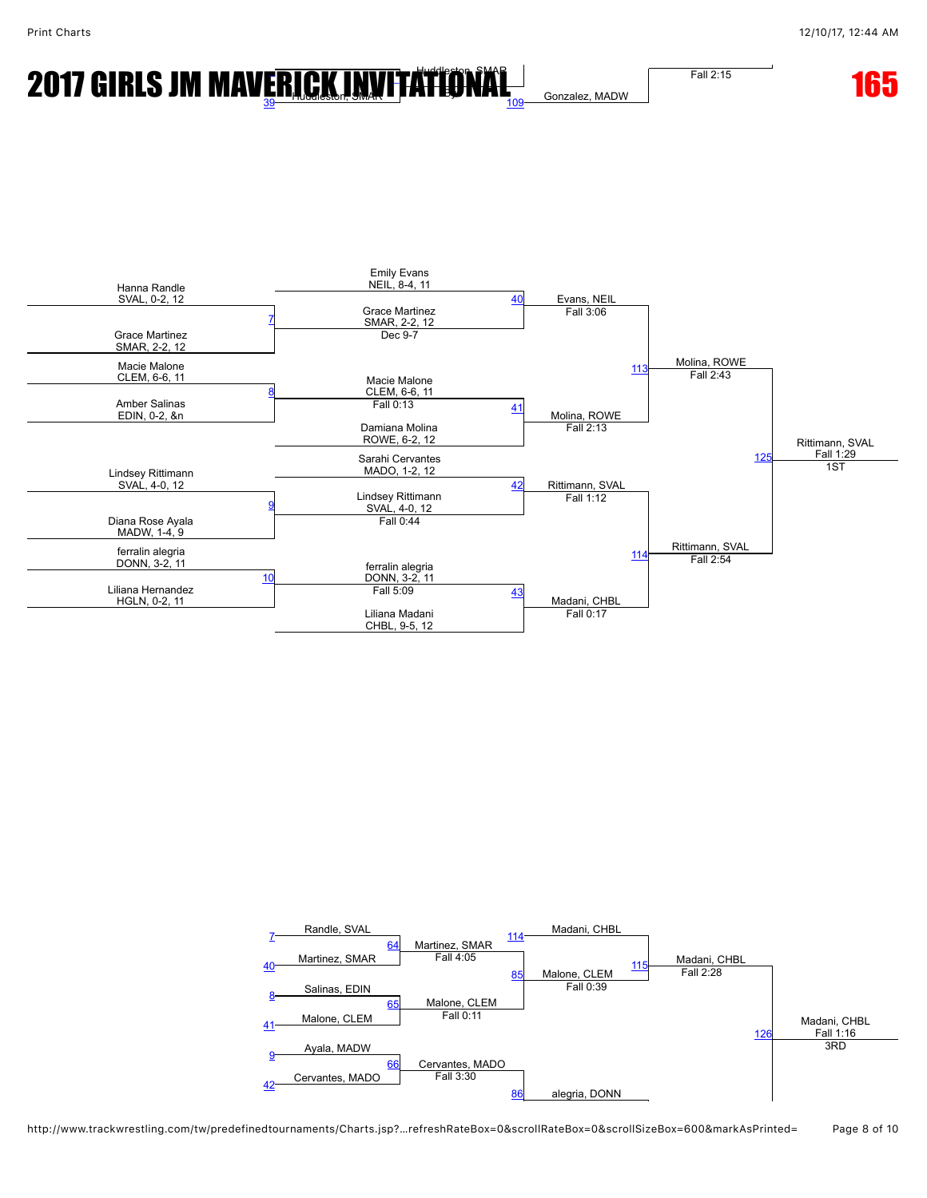## **2017 GIRLS JM MAV<u>ERICK INV[IT](javascript:openBoutSheet(12,)ATIONAL</u> REGISTION CONTROLLER TO 165**

Fall 2:15

Gonzalez, MADW



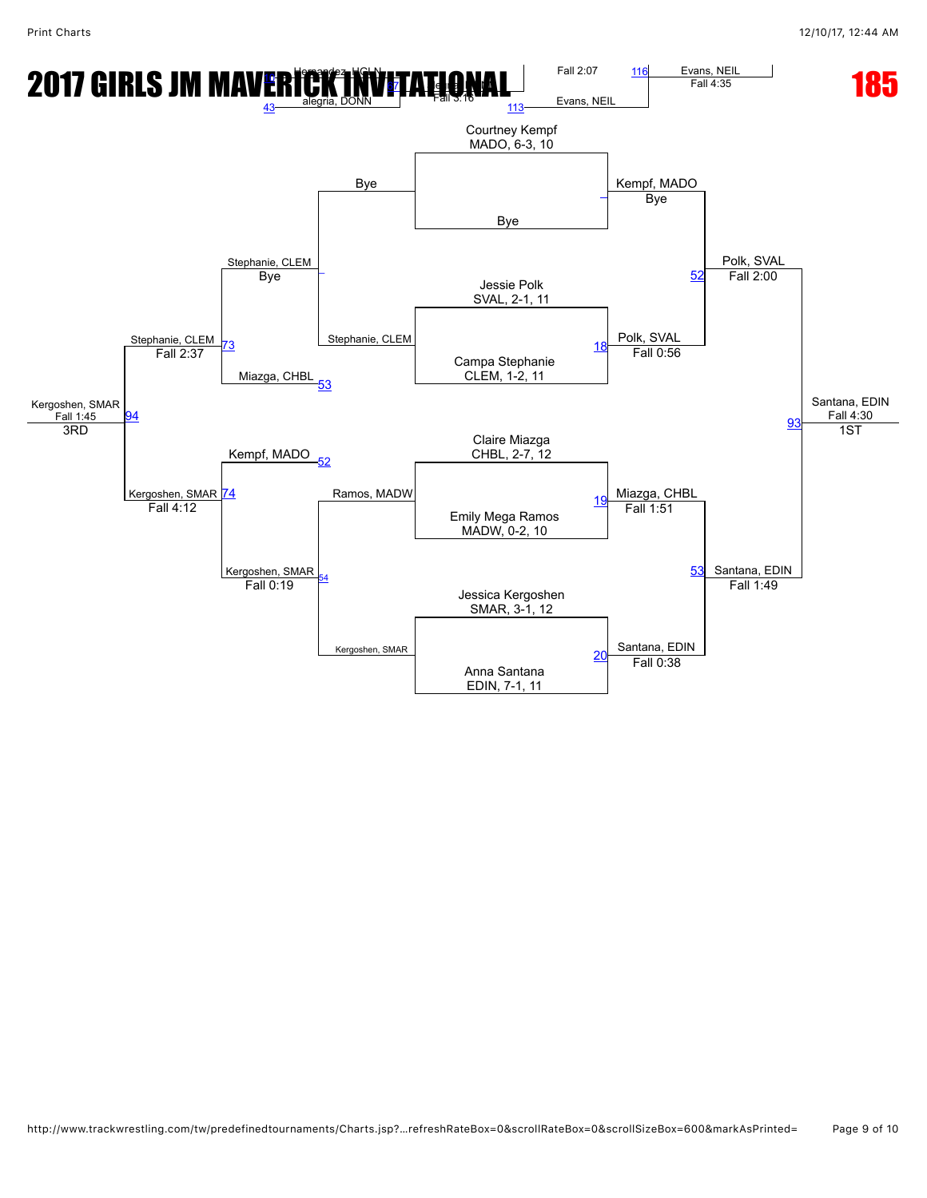